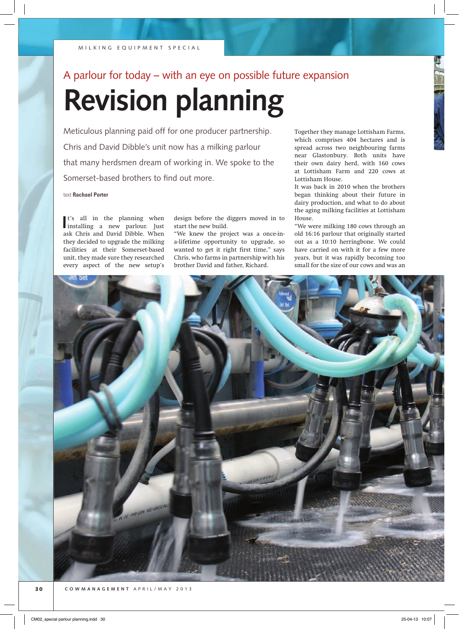# A parlour for today – with an eye on possible future expansion

# **Revision planning**

Meticulous planning paid off for one producer partnership. Chris and David Dibble's unit now has a milking parlour that many herdsmen dream of working in. We spoke to the Somerset-based brothers to find out more.

text **Rachael Porter**

**I**<sup>t</sup>'s all in the planning when installing a new parlour. Just t's all in the planning when ask Chris and David Dibble. When they decided to upgrade the milking facilities at their Somerset-based unit, they made sure they researched every aspect of the new setup's

design before the diggers moved in to start the new build.

"We knew the project was a once-ina-lifetime opportunity to upgrade, so wanted to get it right first time," says Chris, who farms in partnership with his brother David and father, Richard.

Together they manage Lottisham Farms, which comprises 404 hectares and is spread across two neighbouring farms near Glastonbury. Both units have their own dairy herd, with 160 cows at Lottisham Farm and 220 cows at Lottisham House.

It was back in 2010 when the brothers began thinking about their future in dairy production, and what to do about the aging milking facilities at Lottisham House

"We were milking 180 cows through an old 16:16 parlour that originally started out as a 10:10 herringbone. We could have carried on with it for a few more years, but it was rapidly becoming too small for the size of our cows and was an